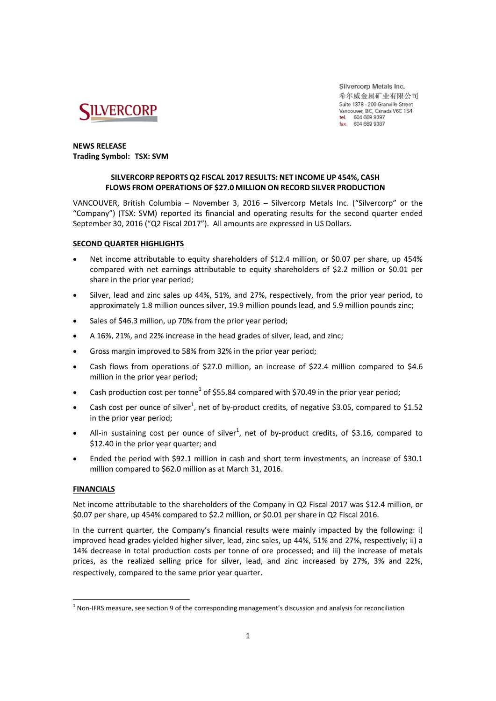

Silvercorp Metals Inc. 希尔威金属矿业有限公司 Suite 1378 - 200 Granville Street Vancouver, BC, Canada V6C 1S4 tel. 604 669 9397 fax. 604 669 9387

### **NEWS RELEASE Trading Symbol: TSX: SVM**

### **SILVERCORP REPORTS Q2 FISCAL 2017 RESULTS: NET INCOME UP 454%, CASH FLOWS FROM OPERATIONS OF \$27.0 MILLION ON RECORD SILVER PRODUCTION**

VANCOUVER, British Columbia – November 3, 2016 **–** Silvercorp Metals Inc. ("Silvercorp" or the "Company") (TSX: SVM) reported its financial and operating results for the second quarter ended September 30, 2016 ("Q2 Fiscal 2017"). All amounts are expressed in US Dollars.

### **SECOND QUARTER HIGHLIGHTS**

- Net income attributable to equity shareholders of \$12.4 million, or \$0.07 per share, up 454% compared with net earnings attributable to equity shareholders of \$2.2 million or \$0.01 per share in the prior year period;
- Silver, lead and zinc sales up 44%, 51%, and 27%, respectively, from the prior year period, to approximately 1.8 million ounces silver, 19.9 million pounds lead, and 5.9 million pounds zinc;
- Sales of \$46.3 million, up 70% from the prior year period;
- A 16%, 21%, and 22% increase in the head grades of silver, lead, and zinc;
- Gross margin improved to 58% from 32% in the prior year period;
- Cash flows from operations of \$27.0 million, an increase of \$22.4 million compared to \$4.6 million in the prior year period;
- Cash production cost per tonne<sup>1</sup> of \$55.84 compared with \$70.49 in the prior year period;
- Cash cost per ounce of silver<sup>1</sup>, net of by-product credits, of negative \$3.05, compared to \$1.52 in the prior year period;
- All-in sustaining cost per ounce of silver<sup>1</sup>, net of by-product credits, of \$3.16, compared to \$12.40 in the prior year quarter; and
- Ended the period with \$92.1 million in cash and short term investments, an increase of \$30.1 million compared to \$62.0 million as at March 31, 2016.

### **FINANCIALS**

-

Net income attributable to the shareholders of the Company in Q2 Fiscal 2017 was \$12.4 million, or \$0.07 per share, up 454% compared to \$2.2 million, or \$0.01 per share in Q2 Fiscal 2016.

In the current quarter, the Company's financial results were mainly impacted by the following: i) improved head grades yielded higher silver, lead, zinc sales, up 44%, 51% and 27%, respectively; ii) a 14% decrease in total production costs per tonne of ore processed; and iii) the increase of metals prices, as the realized selling price for silver, lead, and zinc increased by 27%, 3% and 22%, respectively, compared to the same prior year quarter.

 $1$  Non-IFRS measure, see section 9 of the corresponding management's discussion and analysis for reconciliation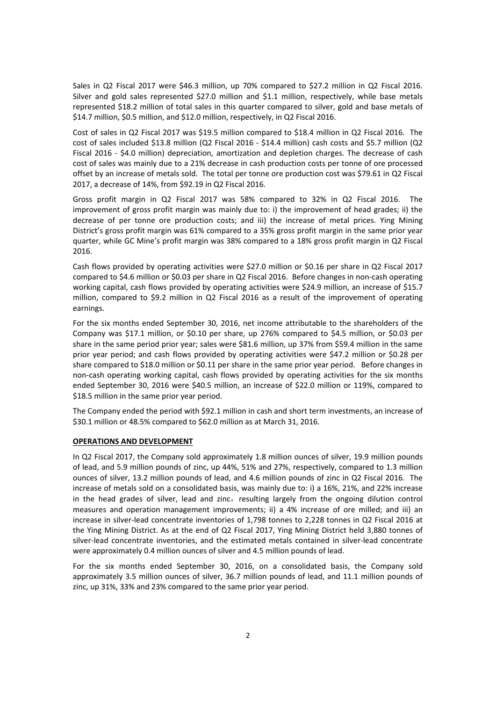Sales in Q2 Fiscal 2017 were \$46.3 million, up 70% compared to \$27.2 million in Q2 Fiscal 2016. Silver and gold sales represented \$27.0 million and \$1.1 million, respectively, while base metals represented \$18.2 million of total sales in this quarter compared to silver, gold and base metals of \$14.7 million, \$0.5 million, and \$12.0 million, respectively, in Q2 Fiscal 2016.

Cost of sales in Q2 Fiscal 2017 was \$19.5 million compared to \$18.4 million in Q2 Fiscal 2016. The cost of sales included \$13.8 million (Q2 Fiscal 2016 ‐ \$14.4 million) cash costs and \$5.7 million (Q2 Fiscal 2016 ‐ \$4.0 million) depreciation, amortization and depletion charges. The decrease of cash cost of sales was mainly due to a 21% decrease in cash production costs per tonne of ore processed offset by an increase of metals sold. The total per tonne ore production cost was \$79.61 in Q2 Fiscal 2017, a decrease of 14%, from \$92.19 in Q2 Fiscal 2016.

Gross profit margin in Q2 Fiscal 2017 was 58% compared to 32% in Q2 Fiscal 2016. The improvement of gross profit margin was mainly due to: i) the improvement of head grades; ii) the decrease of per tonne ore production costs; and iii) the increase of metal prices. Ying Mining District's gross profit margin was 61% compared to a 35% gross profit margin in the same prior year quarter, while GC Mine's profit margin was 38% compared to a 18% gross profit margin in Q2 Fiscal 2016.

Cash flows provided by operating activities were \$27.0 million or \$0.16 per share in Q2 Fiscal 2017 compared to \$4.6 million or \$0.03 per share in Q2 Fiscal 2016. Before changes in non-cash operating working capital, cash flows provided by operating activities were \$24.9 million, an increase of \$15.7 million, compared to \$9.2 million in Q2 Fiscal 2016 as a result of the improvement of operating earnings.

For the six months ended September 30, 2016, net income attributable to the shareholders of the Company was \$17.1 million, or \$0.10 per share, up 276% compared to \$4.5 million, or \$0.03 per share in the same period prior year; sales were \$81.6 million, up 37% from \$59.4 million in the same prior year period; and cash flows provided by operating activities were \$47.2 million or \$0.28 per share compared to \$18.0 million or \$0.11 per share in the same prior year period. Before changes in non‐cash operating working capital, cash flows provided by operating activities for the six months ended September 30, 2016 were \$40.5 million, an increase of \$22.0 million or 119%, compared to \$18.5 million in the same prior year period.

The Company ended the period with \$92.1 million in cash and short term investments, an increase of \$30.1 million or 48.5% compared to \$62.0 million as at March 31, 2016.

### **OPERATIONS AND DEVELOPMENT**

In Q2 Fiscal 2017, the Company sold approximately 1.8 million ounces of silver, 19.9 million pounds of lead, and 5.9 million pounds of zinc, up 44%, 51% and 27%, respectively, compared to 1.3 million ounces of silver, 13.2 million pounds of lead, and 4.6 million pounds of zinc in Q2 Fiscal 2016. The increase of metals sold on a consolidated basis, was mainly due to: i) a 16%, 21%, and 22% increase in the head grades of silver, lead and zinc, resulting largely from the ongoing dilution control measures and operation management improvements; ii) a 4% increase of ore milled; and iii) an increase in silver-lead concentrate inventories of 1,798 tonnes to 2,228 tonnes in Q2 Fiscal 2016 at the Ying Mining District. As at the end of Q2 Fiscal 2017, Ying Mining District held 3,880 tonnes of silver-lead concentrate inventories, and the estimated metals contained in silver-lead concentrate were approximately 0.4 million ounces of silver and 4.5 million pounds of lead.

For the six months ended September 30, 2016, on a consolidated basis, the Company sold approximately 3.5 million ounces of silver, 36.7 million pounds of lead, and 11.1 million pounds of zinc, up 31%, 33% and 23% compared to the same prior year period.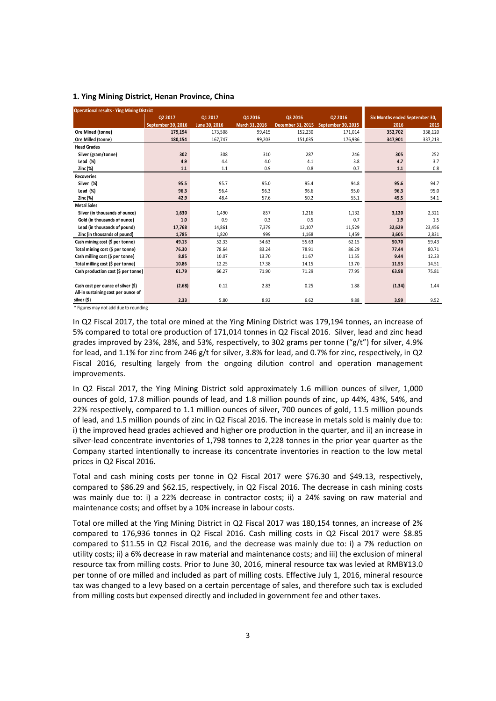#### **1. Ying Mining District, Henan Province, China**

|                                     | <b>Operational results - Ying Mining District</b> |               |                |                   |                    |                                |         |  |
|-------------------------------------|---------------------------------------------------|---------------|----------------|-------------------|--------------------|--------------------------------|---------|--|
|                                     | 02 2017                                           | 01 2017       | Q4 2016        | Q3 2016           | Q2 2016            | Six Months ended September 30, |         |  |
|                                     | September 30, 2016                                | June 30, 2016 | March 31, 2016 | December 31, 2015 | September 30, 2015 | 2016                           | 2015    |  |
| Ore Mined (tonne)                   | 179,194                                           | 173,508       | 99,415         | 152,230           | 171,014            | 352,702                        | 338,120 |  |
| Ore Milled (tonne)                  | 180,154                                           | 167,747       | 99,203         | 151,035           | 176,936            | 347,901                        | 337,213 |  |
| <b>Head Grades</b>                  |                                                   |               |                |                   |                    |                                |         |  |
| Silver (gram/tonne)                 | 302                                               | 308           | 310            | 287               | 246                | 305                            | 252     |  |
| Lead (%)                            | 4.9                                               | 4.4           | 4.0            | 4.1               | 3.8                | 4.7                            | 3.7     |  |
| <b>Zinc (%)</b>                     | $1.1$                                             | 1.1           | 0.9            | 0.8               | 0.7                | $1.1$                          | 0.8     |  |
| <b>Recoveries</b>                   |                                                   |               |                |                   |                    |                                |         |  |
| Silver (%)                          | 95.5                                              | 95.7          | 95.0           | 95.4              | 94.8               | 95.6                           | 94.7    |  |
| Lead (%)                            | 96.3                                              | 96.4          | 96.3           | 96.6              | 95.0               | 96.3                           | 95.0    |  |
| Zinc (%)                            | 42.9                                              | 48.4          | 57.6           | 50.2              | 55.1               | 45.5                           | 54.1    |  |
| <b>Metal Sales</b>                  |                                                   |               |                |                   |                    |                                |         |  |
| Silver (in thousands of ounce)      | 1,630                                             | 1,490         | 857            | 1,216             | 1,132              | 3,120                          | 2,321   |  |
| Gold (in thousands of ounce)        | 1.0                                               | 0.9           | 0.3            | 0.5               | 0.7                | 1.9                            | 1.5     |  |
| Lead (in thousands of pound)        | 17,768                                            | 14,861        | 7,379          | 12,107            | 11,529             | 32,629                         | 23,456  |  |
| Zinc (in thousands of pound)        | 1,785                                             | 1.820         | 999            | 1,168             | 1,459              | 3,605                          | 2,831   |  |
| Cash mining cost (\$ per tonne)     | 49.13                                             | 52.33         | 54.63          | 55.63             | 62.15              | 50.70                          | 59.43   |  |
| Total mining cost (\$ per tonne)    | 76.30                                             | 78.64         | 83.24          | 78.91             | 86.29              | 77.44                          | 80.71   |  |
| Cash milling cost (\$ per tonne)    | 8.85                                              | 10.07         | 13.70          | 11.67             | 11.55              | 9.44                           | 12.23   |  |
| Total milling cost (\$ per tonne)   | 10.86                                             | 12.25         | 17.38          | 14.15             | 13.70              | 11.53                          | 14.51   |  |
| Cash production cost (\$ per tonne) | 61.79                                             | 66.27         | 71.90          | 71.29             | 77.95              | 63.98                          | 75.81   |  |
|                                     |                                                   |               |                |                   |                    |                                |         |  |
| Cash cost per ounce of silver (\$)  | (2.68)                                            | 0.12          | 2.83           | 0.25              | 1.88               | (1.34)                         | 1.44    |  |
| All-in sustaining cost per ounce of |                                                   |               |                |                   |                    |                                |         |  |
| silver (\$)                         | 2.33                                              | 5.80          | 8.92           | 6.62              | 9.88               | 3.99                           | 9.52    |  |

\* Figures may not add due to rounding

In Q2 Fiscal 2017, the total ore mined at the Ying Mining District was 179,194 tonnes, an increase of 5% compared to total ore production of 171,014 tonnes in Q2 Fiscal 2016. Silver, lead and zinc head grades improved by 23%, 28%, and 53%, respectively, to 302 grams per tonne ("g/t") for silver, 4.9% for lead, and 1.1% for zinc from 246 g/t for silver, 3.8% for lead, and 0.7% for zinc, respectively, in Q2 Fiscal 2016, resulting largely from the ongoing dilution control and operation management improvements.

In Q2 Fiscal 2017, the Ying Mining District sold approximately 1.6 million ounces of silver, 1,000 ounces of gold, 17.8 million pounds of lead, and 1.8 million pounds of zinc, up 44%, 43%, 54%, and 22% respectively, compared to 1.1 million ounces of silver, 700 ounces of gold, 11.5 million pounds of lead, and 1.5 million pounds of zinc in Q2 Fiscal 2016. The increase in metals sold is mainly due to: i) the improved head grades achieved and higher ore production in the quarter, and ii) an increase in silver-lead concentrate inventories of 1,798 tonnes to 2,228 tonnes in the prior year quarter as the Company started intentionally to increase its concentrate inventories in reaction to the low metal prices in Q2 Fiscal 2016.

Total and cash mining costs per tonne in Q2 Fiscal 2017 were \$76.30 and \$49.13, respectively, compared to \$86.29 and \$62.15, respectively, in Q2 Fiscal 2016. The decrease in cash mining costs was mainly due to: i) a 22% decrease in contractor costs; ii) a 24% saving on raw material and maintenance costs; and offset by a 10% increase in labour costs.

Total ore milled at the Ying Mining District in Q2 Fiscal 2017 was 180,154 tonnes, an increase of 2% compared to 176,936 tonnes in Q2 Fiscal 2016. Cash milling costs in Q2 Fiscal 2017 were \$8.85 compared to \$11.55 in Q2 Fiscal 2016, and the decrease was mainly due to: i) a 7% reduction on utility costs; ii) a 6% decrease in raw material and maintenance costs; and iii) the exclusion of mineral resource tax from milling costs. Prior to June 30, 2016, mineral resource tax was levied at RMB¥13.0 per tonne of ore milled and included as part of milling costs. Effective July 1, 2016, mineral resource tax was changed to a levy based on a certain percentage of sales, and therefore such tax is excluded from milling costs but expensed directly and included in government fee and other taxes.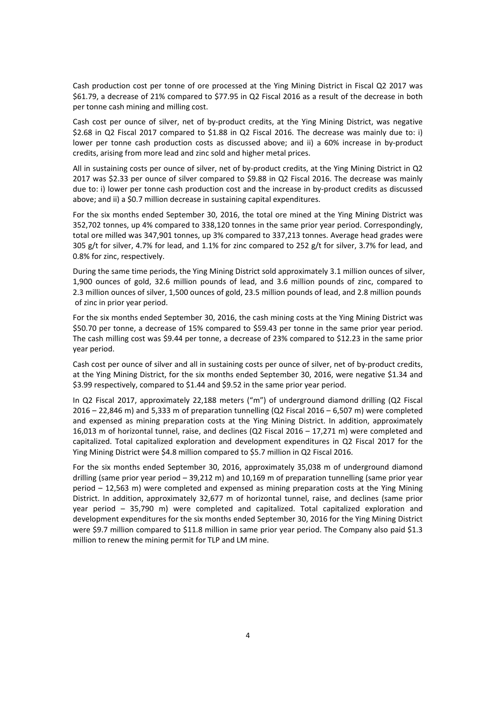Cash production cost per tonne of ore processed at the Ying Mining District in Fiscal Q2 2017 was \$61.79, a decrease of 21% compared to \$77.95 in Q2 Fiscal 2016 as a result of the decrease in both per tonne cash mining and milling cost.

Cash cost per ounce of silver, net of by‐product credits, at the Ying Mining District, was negative \$2.68 in Q2 Fiscal 2017 compared to \$1.88 in Q2 Fiscal 2016. The decrease was mainly due to: i) lower per tonne cash production costs as discussed above; and ii) a 60% increase in by‐product credits, arising from more lead and zinc sold and higher metal prices.

All in sustaining costs per ounce of silver, net of by-product credits, at the Ying Mining District in Q2 2017 was \$2.33 per ounce of silver compared to \$9.88 in Q2 Fiscal 2016. The decrease was mainly due to: i) lower per tonne cash production cost and the increase in by‐product credits as discussed above; and ii) a \$0.7 million decrease in sustaining capital expenditures.

For the six months ended September 30, 2016, the total ore mined at the Ying Mining District was 352,702 tonnes, up 4% compared to 338,120 tonnes in the same prior year period. Correspondingly, total ore milled was 347,901 tonnes, up 3% compared to 337,213 tonnes. Average head grades were 305 g/t for silver, 4.7% for lead, and 1.1% for zinc compared to 252 g/t for silver, 3.7% for lead, and 0.8% for zinc, respectively.

During the same time periods, the Ying Mining District sold approximately 3.1 million ounces of silver, 1,900 ounces of gold, 32.6 million pounds of lead, and 3.6 million pounds of zinc, compared to 2.3 million ounces of silver, 1,500 ounces of gold, 23.5 million pounds of lead, and 2.8 million pounds of zinc in prior year period.

For the six months ended September 30, 2016, the cash mining costs at the Ying Mining District was \$50.70 per tonne, a decrease of 15% compared to \$59.43 per tonne in the same prior year period. The cash milling cost was \$9.44 per tonne, a decrease of 23% compared to \$12.23 in the same prior year period.

Cash cost per ounce of silver and all in sustaining costs per ounce of silver, net of by-product credits, at the Ying Mining District, for the six months ended September 30, 2016, were negative \$1.34 and \$3.99 respectively, compared to \$1.44 and \$9.52 in the same prior year period.

In Q2 Fiscal 2017, approximately 22,188 meters ("m") of underground diamond drilling (Q2 Fiscal 2016 – 22,846 m) and 5,333 m of preparation tunnelling (Q2 Fiscal 2016 – 6,507 m) were completed and expensed as mining preparation costs at the Ying Mining District. In addition, approximately 16,013 m of horizontal tunnel, raise, and declines (Q2 Fiscal 2016 – 17,271 m) were completed and capitalized. Total capitalized exploration and development expenditures in Q2 Fiscal 2017 for the Ying Mining District were \$4.8 million compared to \$5.7 million in Q2 Fiscal 2016.

For the six months ended September 30, 2016, approximately 35,038 m of underground diamond drilling (same prior year period – 39,212 m) and 10,169 m of preparation tunnelling (same prior year period – 12,563 m) were completed and expensed as mining preparation costs at the Ying Mining District. In addition, approximately 32,677 m of horizontal tunnel, raise, and declines (same prior year period – 35,790 m) were completed and capitalized. Total capitalized exploration and development expenditures for the six months ended September 30, 2016 for the Ying Mining District were \$9.7 million compared to \$11.8 million in same prior year period. The Company also paid \$1.3 million to renew the mining permit for TLP and LM mine.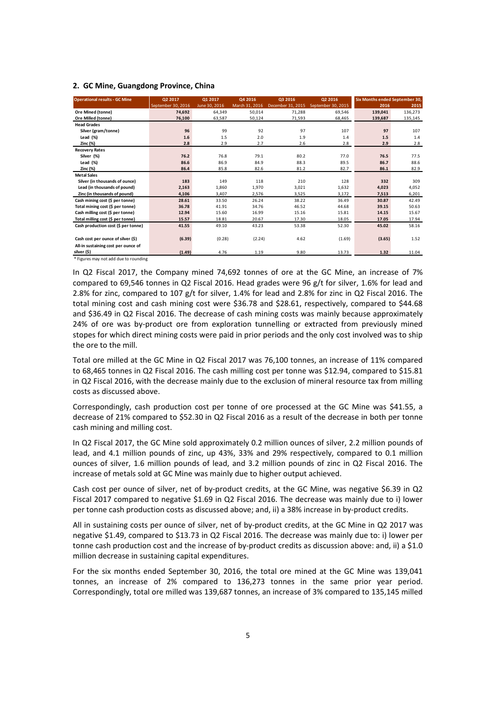#### **2. GC Mine, Guangdong Province, China**

| <b>Operational results - GC Mine</b> | 02 2017            | Q1 2017       | Q4 2016        | Q3 2016           | Q2 2016            | Six Months ended September 30, |         |
|--------------------------------------|--------------------|---------------|----------------|-------------------|--------------------|--------------------------------|---------|
|                                      | September 30, 2016 | June 30, 2016 | March 31, 2016 | December 31, 2015 | September 30, 2015 | 2016                           | 2015    |
| Ore Mined (tonne)                    | 74,692             | 64,349        | 50,014         | 71,288            | 69,546             | 139,041                        | 136,273 |
| Ore Milled (tonne)                   | 76,100             | 63,587        | 50,124         | 71,593            | 68,465             | 139,687                        | 135,145 |
| <b>Head Grades</b>                   |                    |               |                |                   |                    |                                |         |
| Silver (gram/tonne)                  | 96                 | 99            | 92             | 97                | 107                | 97                             | 107     |
| Lead $(*)$                           | 1.6                | 1.5           | 2.0            | 1.9               | 1.4                | 1.5                            | 1.4     |
| Zinc (%)                             | 2.8                | 2.9           | 2.7            | 2.6               | 2.8                | 2.9                            | 2.8     |
| <b>Recovery Rates</b>                |                    |               |                |                   |                    |                                |         |
| Silver (%)                           | 76.2               | 76.8          | 79.1           | 80.2              | 77.0               | 76.5                           | 77.5    |
| Lead $(%)$                           | 86.6               | 86.9          | 84.9           | 88.3              | 89.5               | 86.7                           | 88.6    |
| Zinc (%)                             | 86.4               | 85.8          | 82.6           | 81.2              | 82.7               | 86.1                           | 82.9    |
| <b>Metal Sales</b>                   |                    |               |                |                   |                    |                                |         |
| Silver (in thousands of ounce)       | 183                | 149           | 118            | 210               | 128                | 332                            | 309     |
| Lead (in thousands of pound)         | 2,163              | 1.860         | 1,970          | 3,021             | 1,632              | 4,023                          | 4,052   |
| Zinc (in thousands of pound)         | 4,106              | 3,407         | 2,576          | 3,525             | 3,172              | 7,513                          | 6,201   |
| Cash mining cost (\$ per tonne)      | 28.61              | 33.50         | 26.24          | 38.22             | 36.49              | 30.87                          | 42.49   |
| Total mining cost (\$ per tonne)     | 36.78              | 41.91         | 34.76          | 46.52             | 44.68              | 39.15                          | 50.63   |
| Cash milling cost (\$ per tonne)     | 12.94              | 15.60         | 16.99          | 15.16             | 15.81              | 14.15                          | 15.67   |
| Total milling cost (\$ per tonne)    | 15.57              | 18.81         | 20.67          | 17.30             | 18.05              | 17.05                          | 17.94   |
| Cash production cost (\$ per tonne)  | 41.55              | 49.10         | 43.23          | 53.38             | 52.30              | 45.02                          | 58.16   |
|                                      |                    |               |                |                   |                    |                                |         |
| Cash cost per ounce of silver (\$)   | (6.39)             | (0.28)        | (2.24)         | 4.62              | (1.69)             | (3.65)                         | 1.52    |
| All-in sustaining cost per ounce of  |                    |               |                |                   |                    |                                |         |
| silver (\$)                          | (1.49)             | 4.76          | 1.19           | 9.80              | 13.73              | 1.32                           | 11.04   |

\* Figures may not add due to rounding

In Q2 Fiscal 2017, the Company mined 74,692 tonnes of ore at the GC Mine, an increase of 7% compared to 69,546 tonnes in Q2 Fiscal 2016. Head grades were 96 g/t for silver, 1.6% for lead and 2.8% for zinc, compared to 107 g/t for silver, 1.4% for lead and 2.8% for zinc in Q2 Fiscal 2016. The total mining cost and cash mining cost were \$36.78 and \$28.61, respectively, compared to \$44.68 and \$36.49 in Q2 Fiscal 2016. The decrease of cash mining costs was mainly because approximately 24% of ore was by‐product ore from exploration tunnelling or extracted from previously mined stopes for which direct mining costs were paid in prior periods and the only cost involved was to ship the ore to the mill.

Total ore milled at the GC Mine in Q2 Fiscal 2017 was 76,100 tonnes, an increase of 11% compared to 68,465 tonnes in Q2 Fiscal 2016. The cash milling cost per tonne was \$12.94, compared to \$15.81 in Q2 Fiscal 2016, with the decrease mainly due to the exclusion of mineral resource tax from milling costs as discussed above.

Correspondingly, cash production cost per tonne of ore processed at the GC Mine was \$41.55, a decrease of 21% compared to \$52.30 in Q2 Fiscal 2016 as a result of the decrease in both per tonne cash mining and milling cost.

In Q2 Fiscal 2017, the GC Mine sold approximately 0.2 million ounces of silver, 2.2 million pounds of lead, and 4.1 million pounds of zinc, up 43%, 33% and 29% respectively, compared to 0.1 million ounces of silver, 1.6 million pounds of lead, and 3.2 million pounds of zinc in Q2 Fiscal 2016. The increase of metals sold at GC Mine was mainly due to higher output achieved.

Cash cost per ounce of silver, net of by-product credits, at the GC Mine, was negative \$6.39 in Q2 Fiscal 2017 compared to negative \$1.69 in Q2 Fiscal 2016. The decrease was mainly due to i) lower per tonne cash production costs as discussed above; and, ii) a 38% increase in by‐product credits.

All in sustaining costs per ounce of silver, net of by-product credits, at the GC Mine in Q2 2017 was negative \$1.49, compared to \$13.73 in Q2 Fiscal 2016. The decrease was mainly due to: i) lower per tonne cash production cost and the increase of by-product credits as discussion above: and, ii) a \$1.0 million decrease in sustaining capital expenditures.

For the six months ended September 30, 2016, the total ore mined at the GC Mine was 139,041 tonnes, an increase of 2% compared to 136,273 tonnes in the same prior year period. Correspondingly, total ore milled was 139,687 tonnes, an increase of 3% compared to 135,145 milled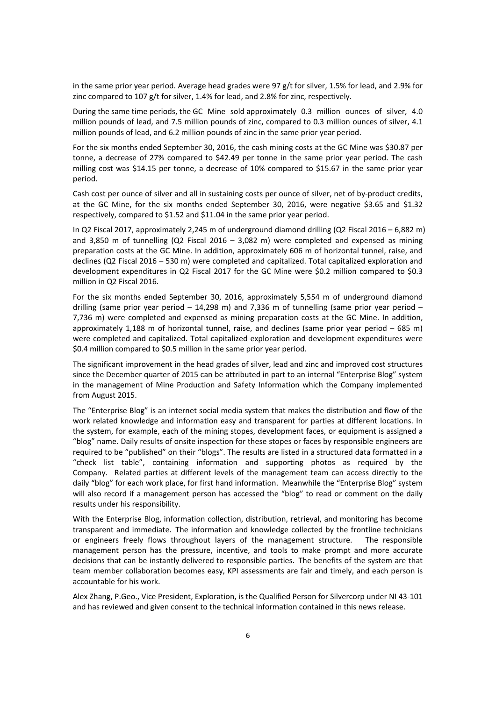in the same prior year period. Average head grades were 97 g/t for silver, 1.5% for lead, and 2.9% for zinc compared to 107 g/t for silver, 1.4% for lead, and 2.8% for zinc, respectively.

During the same time periods, the GC Mine sold approximately 0.3 million ounces of silver, 4.0 million pounds of lead, and 7.5 million pounds of zinc, compared to 0.3 million ounces of silver, 4.1 million pounds of lead, and 6.2 million pounds of zinc in the same prior year period.

For the six months ended September 30, 2016, the cash mining costs at the GC Mine was \$30.87 per tonne, a decrease of 27% compared to \$42.49 per tonne in the same prior year period. The cash milling cost was \$14.15 per tonne, a decrease of 10% compared to \$15.67 in the same prior year period.

Cash cost per ounce of silver and all in sustaining costs per ounce of silver, net of by-product credits, at the GC Mine, for the six months ended September 30, 2016, were negative \$3.65 and \$1.32 respectively, compared to \$1.52 and \$11.04 in the same prior year period.

In Q2 Fiscal 2017, approximately 2,245 m of underground diamond drilling (Q2 Fiscal 2016 – 6,882 m) and 3,850 m of tunnelling (Q2 Fiscal 2016  $-$  3,082 m) were completed and expensed as mining preparation costs at the GC Mine. In addition, approximately 606 m of horizontal tunnel, raise, and declines (Q2 Fiscal 2016 – 530 m) were completed and capitalized. Total capitalized exploration and development expenditures in Q2 Fiscal 2017 for the GC Mine were \$0.2 million compared to \$0.3 million in Q2 Fiscal 2016.

For the six months ended September 30, 2016, approximately 5,554 m of underground diamond drilling (same prior year period  $-14,298$  m) and 7,336 m of tunnelling (same prior year period  $-$ 7,736 m) were completed and expensed as mining preparation costs at the GC Mine. In addition, approximately 1,188 m of horizontal tunnel, raise, and declines (same prior year period – 685 m) were completed and capitalized. Total capitalized exploration and development expenditures were \$0.4 million compared to \$0.5 million in the same prior year period.

The significant improvement in the head grades of silver, lead and zinc and improved cost structures since the December quarter of 2015 can be attributed in part to an internal "Enterprise Blog" system in the management of Mine Production and Safety Information which the Company implemented from August 2015.

The "Enterprise Blog" is an internet social media system that makes the distribution and flow of the work related knowledge and information easy and transparent for parties at different locations. In the system, for example, each of the mining stopes, development faces, or equipment is assigned a "blog" name. Daily results of onsite inspection for these stopes or faces by responsible engineers are required to be "published" on their "blogs". The results are listed in a structured data formatted in a "check list table", containing information and supporting photos as required by the Company. Related parties at different levels of the management team can access directly to the daily "blog" for each work place, for first hand information. Meanwhile the "Enterprise Blog" system will also record if a management person has accessed the "blog" to read or comment on the daily results under his responsibility.

With the Enterprise Blog, information collection, distribution, retrieval, and monitoring has become transparent and immediate. The information and knowledge collected by the frontline technicians or engineers freely flows throughout layers of the management structure. The responsible management person has the pressure, incentive, and tools to make prompt and more accurate decisions that can be instantly delivered to responsible parties. The benefits of the system are that team member collaboration becomes easy, KPI assessments are fair and timely, and each person is accountable for his work.

Alex Zhang, P.Geo., Vice President, Exploration, is the Qualified Person for Silvercorp under NI 43‐101 and has reviewed and given consent to the technical information contained in this news release.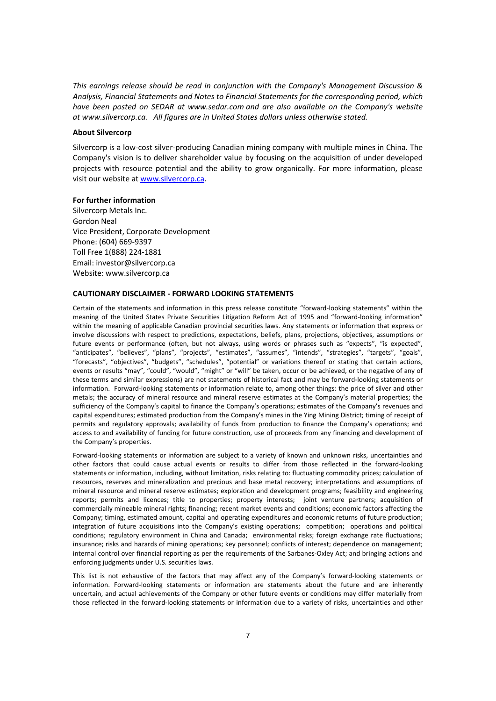*This earnings release should be read in conjunction with the Company's Management Discussion & Analysis, Financial Statements and Notes to Financial Statements for the corresponding period, which have been posted on SEDAR at www.sedar.com and are also available on the Company's website at www.silvercorp.ca. All figures are in United States dollars unless otherwise stated.*

#### **About Silvercorp**

Silvercorp is a low‐cost silver‐producing Canadian mining company with multiple mines in China. The Company's vision is to deliver shareholder value by focusing on the acquisition of under developed projects with resource potential and the ability to grow organically. For more information, please visit our website at www.silvercorp.ca.

#### **For further information**

Silvercorp Metals Inc. Gordon Neal Vice President, Corporate Development Phone: (604) 669‐9397 Toll Free 1(888) 224‐1881 Email: investor@silvercorp.ca Website: www.silvercorp.ca

#### **CAUTIONARY DISCLAIMER ‐ FORWARD LOOKING STATEMENTS**

Certain of the statements and information in this press release constitute "forward‐looking statements" within the meaning of the United States Private Securities Litigation Reform Act of 1995 and "forward‐looking information" within the meaning of applicable Canadian provincial securities laws. Any statements or information that express or involve discussions with respect to predictions, expectations, beliefs, plans, projections, objectives, assumptions or future events or performance (often, but not always, using words or phrases such as "expects", "is expected", "anticipates", "believes", "plans", "projects", "estimates", "assumes", "intends", "strategies", "targets", "goals", "forecasts", "objectives", "budgets", "schedules", "potential" or variations thereof or stating that certain actions, events or results "may", "could", "would", "might" or "will" be taken, occur or be achieved, or the negative of any of these terms and similar expressions) are not statements of historical fact and may be forward‐looking statements or information. Forward-looking statements or information relate to, among other things: the price of silver and other metals; the accuracy of mineral resource and mineral reserve estimates at the Company's material properties; the sufficiency of the Company's capital to finance the Company's operations; estimates of the Company's revenues and capital expenditures; estimated production from the Company's mines in the Ying Mining District; timing of receipt of permits and regulatory approvals; availability of funds from production to finance the Company's operations; and access to and availability of funding for future construction, use of proceeds from any financing and development of the Company's properties.

Forward‐looking statements or information are subject to a variety of known and unknown risks, uncertainties and other factors that could cause actual events or results to differ from those reflected in the forward‐looking statements or information, including, without limitation, risks relating to: fluctuating commodity prices; calculation of resources, reserves and mineralization and precious and base metal recovery; interpretations and assumptions of mineral resource and mineral reserve estimates; exploration and development programs; feasibility and engineering reports; permits and licences; title to properties; property interests; joint venture partners; acquisition of commercially mineable mineral rights; financing; recent market events and conditions; economic factors affecting the Company; timing, estimated amount, capital and operating expenditures and economic returns of future production; integration of future acquisitions into the Company's existing operations; competition; operations and political conditions; regulatory environment in China and Canada; environmental risks; foreign exchange rate fluctuations; insurance; risks and hazards of mining operations; key personnel; conflicts of interest; dependence on management; internal control over financial reporting as per the requirements of the Sarbanes‐Oxley Act; and bringing actions and enforcing judgments under U.S. securities laws.

This list is not exhaustive of the factors that may affect any of the Company's forward‐looking statements or information. Forward-looking statements or information are statements about the future and are inherently uncertain, and actual achievements of the Company or other future events or conditions may differ materially from those reflected in the forward‐looking statements or information due to a variety of risks, uncertainties and other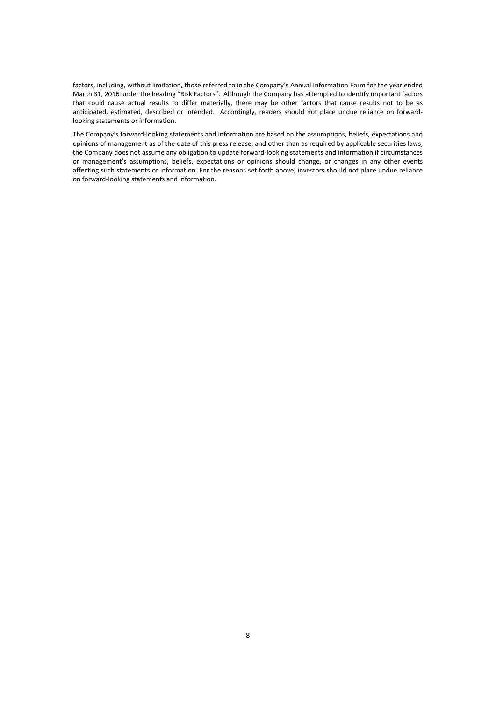factors, including, without limitation, those referred to in the Company's Annual Information Form for the year ended March 31, 2016 under the heading "Risk Factors". Although the Company has attempted to identify important factors that could cause actual results to differ materially, there may be other factors that cause results not to be as anticipated, estimated, described or intended. Accordingly, readers should not place undue reliance on forwardlooking statements or information.

The Company's forward-looking statements and information are based on the assumptions, beliefs, expectations and opinions of management as of the date of this press release, and other than as required by applicable securities laws, the Company does not assume any obligation to update forward‐looking statements and information if circumstances or management's assumptions, beliefs, expectations or opinions should change, or changes in any other events affecting such statements or information. For the reasons set forth above, investors should not place undue reliance on forward‐looking statements and information.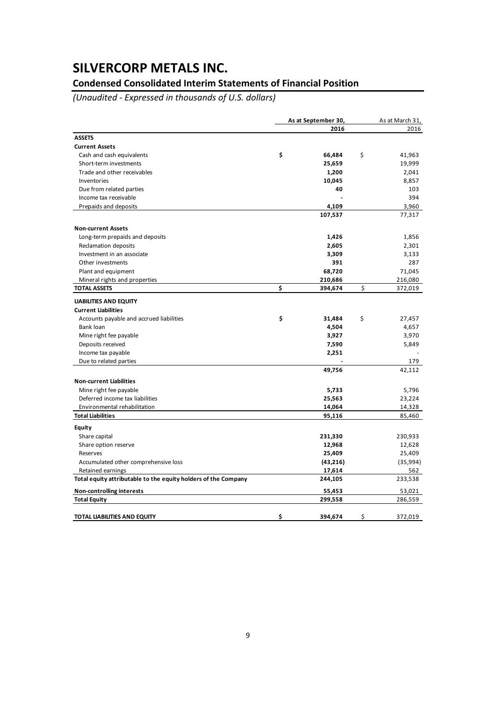### **Condensed Consolidated Interim Statements of Financial Position**

*(Unaudited ‐ Expressed in thousands of U.S. dollars)*

|                                                                | As at September 30, |           | As at March 31, |  |
|----------------------------------------------------------------|---------------------|-----------|-----------------|--|
|                                                                |                     | 2016      | 2016            |  |
| <b>ASSETS</b>                                                  |                     |           |                 |  |
| <b>Current Assets</b>                                          |                     |           |                 |  |
| Cash and cash equivalents                                      | \$                  | 66,484    | \$<br>41,963    |  |
| Short-term investments                                         |                     | 25,659    | 19,999          |  |
| Trade and other receivables                                    |                     | 1,200     | 2,041           |  |
| Inventories                                                    |                     | 10,045    | 8,857           |  |
| Due from related parties                                       |                     | 40        | 103             |  |
| Income tax receivable                                          |                     |           | 394             |  |
| Prepaids and deposits                                          |                     | 4,109     | 3,960           |  |
|                                                                |                     | 107,537   | 77,317          |  |
| <b>Non-current Assets</b>                                      |                     |           |                 |  |
| Long-term prepaids and deposits                                |                     | 1,426     | 1,856           |  |
| <b>Reclamation deposits</b>                                    |                     | 2,605     | 2,301           |  |
| Investment in an associate                                     |                     | 3,309     | 3,133           |  |
| Other investments                                              |                     | 391       | 287             |  |
| Plant and equipment                                            |                     | 68,720    | 71,045          |  |
| Mineral rights and properties                                  |                     | 210,686   | 216,080         |  |
| <b>TOTAL ASSETS</b>                                            | \$                  | 394,674   | \$<br>372,019   |  |
|                                                                |                     |           |                 |  |
| <b>LIABILITIES AND EQUITY</b><br><b>Current Liabilities</b>    |                     |           |                 |  |
| Accounts payable and accrued liabilities                       | \$                  | 31,484    | \$<br>27,457    |  |
| Bank loan                                                      |                     | 4,504     | 4,657           |  |
| Mine right fee payable                                         |                     | 3,927     | 3,970           |  |
| Deposits received                                              |                     | 7,590     | 5,849           |  |
| Income tax payable                                             |                     | 2,251     |                 |  |
| Due to related parties                                         |                     |           | 179             |  |
|                                                                |                     | 49,756    | 42,112          |  |
|                                                                |                     |           |                 |  |
| <b>Non-current Liabilities</b>                                 |                     |           |                 |  |
| Mine right fee payable                                         |                     | 5,733     | 5,796           |  |
| Deferred income tax liabilities                                |                     | 25,563    | 23,224          |  |
| Environmental rehabilitation                                   |                     | 14,064    | 14,328          |  |
| <b>Total Liabilities</b>                                       |                     | 95,116    | 85,460          |  |
| <b>Equity</b>                                                  |                     |           |                 |  |
| Share capital                                                  |                     | 231,330   | 230,933         |  |
| Share option reserve                                           |                     | 12,968    | 12,628          |  |
| Reserves                                                       |                     | 25,409    | 25,409          |  |
| Accumulated other comprehensive loss                           |                     | (43, 216) | (35,994)        |  |
| Retained earnings                                              |                     | 17,614    | 562             |  |
| Total equity attributable to the equity holders of the Company |                     | 244,105   | 233,538         |  |
| <b>Non-controlling interests</b>                               |                     | 55,453    | 53,021          |  |
| <b>Total Equity</b>                                            |                     | 299,558   | 286,559         |  |
|                                                                |                     |           |                 |  |
| TOTAL LIABILITIES AND EQUITY                                   | \$                  | 394,674   | \$<br>372,019   |  |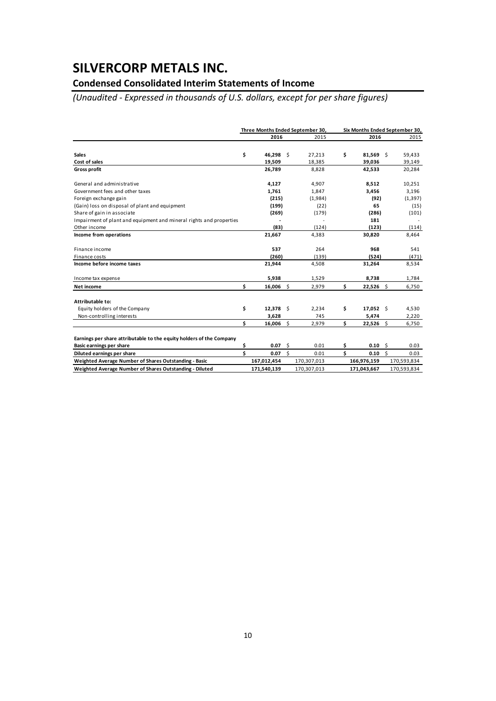### **Condensed Consolidated Interim Statements of Income**

*(Unaudited ‐ Expressed in thousands of U.S. dollars, except for per share figures)*

|                                                                      | Three Months Ended September 30, |              |             | Six Months Ended September 30, |              |  |
|----------------------------------------------------------------------|----------------------------------|--------------|-------------|--------------------------------|--------------|--|
|                                                                      | 2016                             |              | 2015        | 2016                           | 2015         |  |
|                                                                      |                                  |              |             |                                |              |  |
| <b>Sales</b>                                                         | \$<br>46,298 \$                  |              | 27,213      | \$<br>81,569                   | Ŝ.<br>59,433 |  |
| Cost of sales                                                        | 19,509                           |              | 18,385      | 39,036                         | 39,149       |  |
| Gross profit                                                         | 26,789                           |              | 8,828       | 42,533                         | 20,284       |  |
| General and administrative                                           | 4,127                            |              | 4,907       | 8,512                          | 10,251       |  |
| Government fees and other taxes                                      | 1,761                            |              | 1,847       | 3,456                          | 3,196        |  |
| Foreign exchange gain                                                | (215)                            |              | (1,984)     | (92)                           | (1, 397)     |  |
| (Gain) loss on disposal of plant and equipment                       | (199)                            |              | (22)        | 65                             | (15)         |  |
| Share of gain in associate                                           | (269)                            |              | (179)       | (286)                          | (101)        |  |
| Impairment of plant and equipment and mineral rights and properties  |                                  |              |             | 181                            |              |  |
| Other income                                                         | (83)                             |              | (124)       | (123)                          | (114)        |  |
| Income from operations                                               | 21,667                           |              | 4,383       | 30,820                         | 8,464        |  |
| Finance income                                                       | 537                              |              | 264         | 968                            | 541          |  |
| Finance costs                                                        | (260)                            |              | (139)       | (524)                          | (471)        |  |
| Income before income taxes                                           | 21,944                           |              | 4,508       | 31,264                         | 8,534        |  |
| Income tax expense                                                   | 5,938                            |              | 1,529       | 8,738                          | 1,784        |  |
| Net income                                                           | \$<br>16,006                     | \$           | 2,979       | \$<br>$22,526$ \$              | 6,750        |  |
| Attributable to:                                                     |                                  |              |             |                                |              |  |
| Equity holders of the Company                                        | \$<br>$12,378$ \$                |              | 2,234       | \$<br>17,052 \$                | 4,530        |  |
| Non-controlling interests                                            | 3.628                            |              | 745         | 5,474                          | 2,220        |  |
|                                                                      | \$<br>$16,006$ \$                |              | 2,979       | \$<br>$22,526$ \$              | 6,750        |  |
| Earnings per share attributable to the equity holders of the Company |                                  |              |             |                                |              |  |
| Basic earnings per share                                             | \$<br>0.07                       | $\mathsf{S}$ | 0.01        | \$<br>0.10                     | -\$<br>0.03  |  |
| Diluted earnings per share                                           | \$<br>0.07                       | \$           | 0.01        | \$<br>0.10                     | \$<br>0.03   |  |
| Weighted Average Number of Shares Outstanding - Basic                | 167,012,454                      |              | 170,307,013 | 166,976,159                    | 170,593,834  |  |
| Weighted Average Number of Shares Outstanding - Diluted              | 171,540,139                      |              | 170,307,013 | 171,043,667                    | 170,593,834  |  |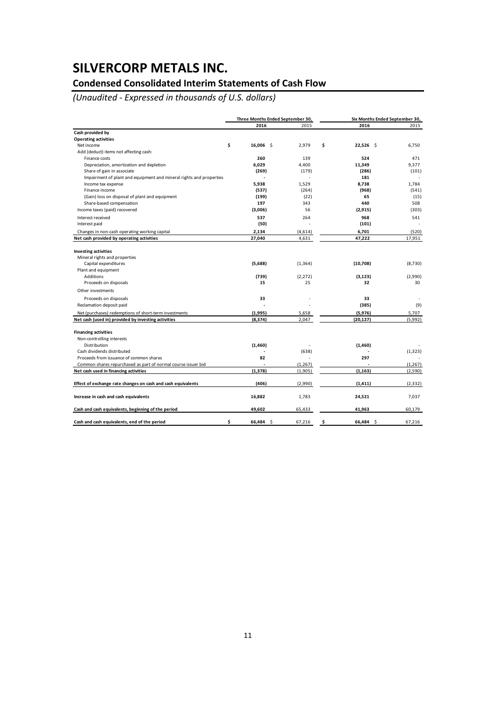# **Condensed Consolidated Interim Statements of Cash Flow**

*(Unaudited ‐ Expressed in thousands of U.S. dollars)*

|                                                                     | Three Months Ended September 30, |          | Six Months Ended September 30, |          |
|---------------------------------------------------------------------|----------------------------------|----------|--------------------------------|----------|
|                                                                     | 2016                             | 2015     | 2016                           | 2015     |
| Cash provided by                                                    |                                  |          |                                |          |
| <b>Operating activities</b>                                         |                                  |          |                                |          |
| \$<br>Net income                                                    | 16,006 \$                        | 2,979    | \$<br>$22,526$ \$              | 6,750    |
| Add (deduct) items not affecting cash:                              |                                  |          |                                |          |
| Finance costs                                                       | 260                              | 139      | 524                            | 471      |
| Depreciation, amortization and depletion                            | 6,029                            | 4,400    | 11,349                         | 9,377    |
| Share of gain in associate                                          | (269)                            | (179)    | (286)                          | (101)    |
| Impairment of plant and equipment and mineral rights and properties |                                  |          | 181                            |          |
| Income tax expense                                                  | 5,938                            | 1,529    | 8,738                          | 1,784    |
| Finance income                                                      | (537)                            | (264)    | (968)                          | (541)    |
| (Gain) loss on disposal of plant and equipment                      | (199)                            | (22)     | 65                             | (15)     |
| Share-based compensation                                            | 197                              | 343      | 440                            | 508      |
| Income taxes (paid) recovered                                       | (3,006)                          | 56       | (2,915)                        | (303)    |
| Interest received                                                   | 537                              | 264      | 968                            | 541      |
| Interest paid                                                       | (50)                             |          | (101)                          |          |
| Changes in non-cash operating working capital                       | 2,134                            | (4,614)  | 6,701                          | (520)    |
| Net cash provided by operating activities                           | 27,040                           | 4,631    | 47,222                         | 17,951   |
|                                                                     |                                  |          |                                |          |
| <b>Investing activities</b>                                         |                                  |          |                                |          |
| Mineral rights and properties                                       |                                  |          |                                |          |
| Capital expenditures                                                | (5,688)                          | (1, 364) | (10,708)                       | (8,730)  |
| Plant and equipment                                                 |                                  |          |                                |          |
| Additions                                                           | (739)                            | (2, 272) | (3, 123)                       | (2,990)  |
| Proceeds on disposals                                               | 15                               | 25       | 32                             | 30       |
| Other investments                                                   |                                  |          |                                |          |
|                                                                     |                                  |          |                                |          |
| Proceeds on disposals                                               | 33                               |          | 33                             |          |
| Reclamation deposit paid                                            |                                  |          | (385)                          | (9)      |
| Net (purchases) redemptions of short-term investments               | (1,995)                          | 5,658    | (5,976)                        | 5,707    |
| Net cash (used in) provided by investing activities                 | (8, 374)                         | 2,047    | (20, 127)                      | (5,992)  |
|                                                                     |                                  |          |                                |          |
| <b>Financing activities</b>                                         |                                  |          |                                |          |
| Non-controlling interests                                           |                                  |          |                                |          |
| Distribution                                                        | (1, 460)                         |          | (1,460)                        |          |
| Cash dividends distributed                                          |                                  | (638)    |                                | (1, 323) |
| Proceeds from issuance of common shares                             | 82                               |          | 297                            |          |
| Common shares repurchased as part of normal course issuer bid       |                                  | (1, 267) |                                | (1, 267) |
| Net cash used in financing activities                               | (1,378)                          | (1,905)  | (1, 163)                       | (2,590)  |
|                                                                     |                                  |          |                                |          |
| Effect of exchange rate changes on cash and cash equivalents        | (406)                            | (2,990)  | (1, 411)                       | (2, 332) |
| Increase in cash and cash equivalents                               | 16,882                           | 1,783    | 24,521                         | 7,037    |
|                                                                     |                                  |          |                                |          |
| Cash and cash equivalents, beginning of the period                  | 49,602                           | 65,433   | 41,963                         | 60,179   |
| \$<br>Cash and cash equivalents, end of the period                  | 66.484 S                         | 67.216   | Ś<br>66.484 \$                 | 67.216   |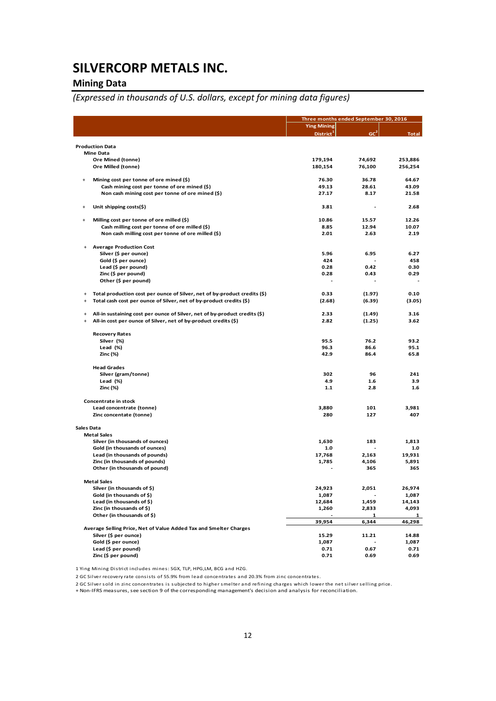## **Mining Data**

### *(Expressed in thousands of U.S. dollars, except for mining data figures)*

|            |                                                                            | Three months ended September 30, 2016 |                 |                 |  |
|------------|----------------------------------------------------------------------------|---------------------------------------|-----------------|-----------------|--|
|            |                                                                            | <b>Ying Mining</b>                    |                 |                 |  |
|            |                                                                            | District <sup>1</sup>                 | GC <sup>2</sup> | <b>Total</b>    |  |
|            | <b>Production Data</b>                                                     |                                       |                 |                 |  |
|            | Mine Data                                                                  |                                       |                 |                 |  |
|            | Ore Mined (tonne)                                                          | 179,194                               | 74,692          | 253,886         |  |
|            | Ore Milled (tonne)                                                         | 180,154                               | 76,100          | 256,254         |  |
| $\ddot{}$  | Mining cost per tonne of ore mined (\$)                                    | 76.30                                 | 36.78           | 64.67           |  |
|            | Cash mining cost per tonne of ore mined (\$)                               | 49.13                                 | 28.61           | 43.09           |  |
|            | Non cash mining cost per tonne of ore mined (\$)                           | 27.17                                 | 8.17            | 21.58           |  |
| $\ddot{}$  | Unit shipping costs(\$)                                                    | 3.81                                  |                 | 2.68            |  |
|            | Milling cost per tonne of ore milled (\$)                                  | 10.86                                 | 15.57           | 12.26           |  |
|            | Cash milling cost per tonne of ore milled (\$)                             | 8.85                                  | 12.94           | 10.07           |  |
|            | Non cash milling cost per tonne of ore milled (\$)                         | 2.01                                  | 2.63            | 2.19            |  |
|            | <b>Average Production Cost</b>                                             |                                       |                 |                 |  |
|            | Silver (\$ per ounce)                                                      | 5.96                                  | 6.95            | 6.27            |  |
|            | Gold (\$ per ounce)                                                        | 424                                   |                 | 458             |  |
|            | Lead (\$ per pound)                                                        | 0.28                                  | 0.42            | 0.30            |  |
|            | Zinc (\$ per pound)                                                        | 0.28                                  | 0.43            | 0.29            |  |
|            | Other (\$ per pound)                                                       |                                       |                 |                 |  |
| $+$        | Total production cost per ounce of Silver, net of by-product credits (\$)  | 0.33                                  | (1.97)          | 0.10            |  |
| $\ddot{}$  | Total cash cost per ounce of Silver, net of by-product credits (\$)        | (2.68)                                | (6.39)          | (3.05)          |  |
|            | All-in sustaining cost per ounce of Silver, net of by-product credits (\$) | 2.33                                  | (1.49)          | 3.16            |  |
| $\ddot{}$  | All-in cost per ounce of Silver, net of by-product credits (\$)            | 2.82                                  | (1.25)          | 3.62            |  |
|            | <b>Recovery Rates</b>                                                      |                                       |                 |                 |  |
|            | Silver (%)                                                                 | 95.5                                  | 76.2            | 93.2            |  |
|            | Lead $(*)$                                                                 | 96.3                                  | 86.6            | 95.1            |  |
|            | Zinc (%)                                                                   | 42.9                                  | 86.4            | 65.8            |  |
|            | <b>Head Grades</b>                                                         |                                       |                 |                 |  |
|            | Silver (gram/tonne)                                                        | 302                                   | 96              | 241             |  |
|            | Lead (%)                                                                   | 4.9                                   | 1.6             | 3.9             |  |
|            | Zinc (%)                                                                   | 1.1                                   | 2.8             | 1.6             |  |
|            | Concentrate in stock                                                       |                                       |                 |                 |  |
|            | Lead concentrate (tonne)                                                   | 3,880                                 | 101             | 3,981           |  |
|            | Zinc concentate (tonne)                                                    | 280                                   | 127             | 407             |  |
| Sales Data |                                                                            |                                       |                 |                 |  |
|            | <b>Metal Sales</b>                                                         |                                       |                 |                 |  |
|            | Silver (in thousands of ounces)                                            | 1,630                                 | 183             | 1,813           |  |
|            | Gold (in thousands of ounces)                                              | 1.0                                   |                 | 1.0             |  |
|            | Lead (in thousands of pounds)                                              | 17,768                                | 2,163           | 19,931          |  |
|            | Zinc (in thousands of pounds)<br>Other (in thousands of pound)             | 1,785                                 | 4,106<br>365    | 5,891<br>365    |  |
|            |                                                                            |                                       |                 |                 |  |
|            | <b>Metal Sales</b>                                                         |                                       |                 |                 |  |
|            | Silver (in thousands of \$)<br>Gold (in thousands of \$)                   | 24,923                                | 2,051           | 26,974<br>1,087 |  |
|            | Lead (in thousands of \$)                                                  | 1,087<br>12,684                       | 1,459           | 14,143          |  |
|            | Zinc (in thousands of \$)                                                  | 1,260                                 | 2,833           | 4,093           |  |
|            | Other (in thousands of \$)                                                 |                                       | 1               | 1               |  |
|            |                                                                            | 39,954                                | 6,344           | 46,298          |  |
|            | Average Selling Price, Net of Value Added Tax and Smelter Charges          |                                       |                 |                 |  |
|            | Silver (\$ per ounce)                                                      | 15.29                                 | 11.21           | 14.88           |  |
|            | Gold (\$ per ounce)                                                        | 1,087                                 |                 | 1,087           |  |
|            | Lead (\$ per pound)                                                        | 0.71                                  | 0.67            | 0.71            |  |
|            | Zinc (\$ per pound)                                                        | 0.71                                  | 0.69            | 0.69            |  |

1 Ying Mining District includes mines: SGX, TLP, HPG,LM, BCG and HZG.

2 GC Silver recovery rate consists of 55.9% from lead concentrates and 20.3% from zinc concentrates.

2 GC Silver sold in zinc concentrates is subjected to higher smelter and refining charges which lower the net silver selling price.

+ Non‐IFRS measures, see section 9 of the corresponding management's decision and analysis for reconciliation.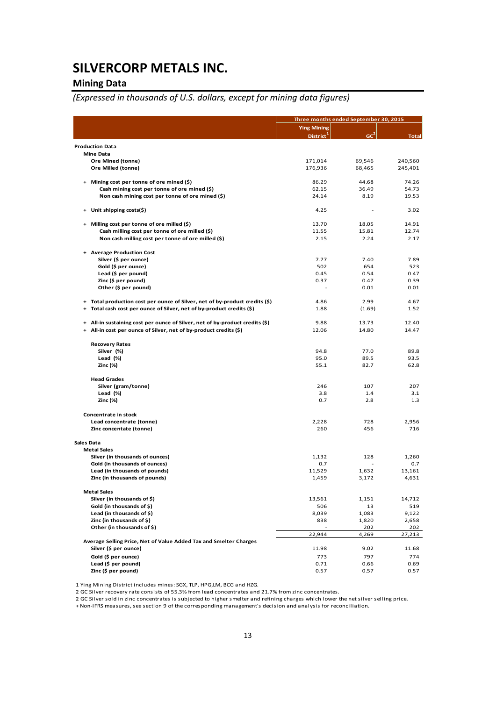### **Mining Data**

### *(Expressed in thousands of U.S. dollars, except for mining data figures)*

|                                                                              | Three months ended September 30, 2015 |                 |              |
|------------------------------------------------------------------------------|---------------------------------------|-----------------|--------------|
|                                                                              | <b>Ying Mining</b>                    |                 |              |
|                                                                              | District <sup>1</sup>                 | GC <sup>2</sup> | <b>Total</b> |
|                                                                              |                                       |                 |              |
| <b>Production Data</b>                                                       |                                       |                 |              |
| <b>Mine Data</b>                                                             |                                       |                 |              |
| Ore Mined (tonne)                                                            | 171,014                               | 69,546          | 240,560      |
| Ore Milled (tonne)                                                           | 176,936                               | 68,465          | 245,401      |
| + Mining cost per tonne of ore mined (\$)                                    | 86.29                                 | 44.68           | 74.26        |
| Cash mining cost per tonne of ore mined (\$)                                 | 62.15                                 | 36.49           | 54.73        |
| Non cash mining cost per tonne of ore mined (\$)                             | 24.14                                 | 8.19            | 19.53        |
|                                                                              |                                       |                 |              |
| + Unit shipping costs(\$)                                                    | 4.25                                  |                 | 3.02         |
| + Milling cost per tonne of ore milled (\$)                                  | 13.70                                 | 18.05           | 14.91        |
| Cash milling cost per tonne of ore milled (\$)                               | 11.55                                 | 15.81           | 12.74        |
| Non cash milling cost per tonne of ore milled (\$)                           | 2.15                                  | 2.24            | 2.17         |
|                                                                              |                                       |                 |              |
| + Average Production Cost                                                    |                                       |                 |              |
| Silver (\$ per ounce)                                                        | 7.77                                  | 7.40            | 7.89         |
| Gold (\$ per ounce)                                                          | 502                                   | 654             | 523          |
| Lead (\$ per pound)                                                          | 0.45                                  | 0.54            | 0.47         |
| Zinc (\$ per pound)                                                          | 0.37                                  | 0.47            | 0.39         |
| Other (\$ per pound)                                                         |                                       | 0.01            | 0.01         |
|                                                                              |                                       |                 |              |
| + Total production cost per ounce of Silver, net of by-product credits (\$)  | 4.86                                  | 2.99            | 4.67         |
| + Total cash cost per ounce of Silver, net of by-product credits (\$)        | 1.88                                  | (1.69)          | 1.52         |
| + All-in sustaining cost per ounce of Silver, net of by-product credits (\$) | 9.88                                  | 13.73           | 12.40        |
| + All-in cost per ounce of Silver, net of by-product credits (\$)            | 12.06                                 | 14.80           | 14.47        |
|                                                                              |                                       |                 |              |
| <b>Recovery Rates</b>                                                        |                                       |                 |              |
| Silver (%)                                                                   | 94.8                                  | 77.0            | 89.8         |
| Lead $(\%)$                                                                  | 95.0                                  | 89.5            | 93.5         |
| Zinc (%)                                                                     | 55.1                                  | 82.7            | 62.8         |
|                                                                              |                                       |                 |              |
| <b>Head Grades</b>                                                           |                                       |                 |              |
| Silver (gram/tonne)                                                          | 246<br>3.8                            | 107<br>1.4      | 207<br>3.1   |
| Lead (%)<br>Zinc (%)                                                         | 0.7                                   | 2.8             | 1.3          |
|                                                                              |                                       |                 |              |
| Concentrate in stock                                                         |                                       |                 |              |
| Lead concentrate (tonne)                                                     | 2,228                                 | 728             | 2,956        |
| Zinc concentate (tonne)                                                      | 260                                   | 456             | 716          |
|                                                                              |                                       |                 |              |
| Sales Data<br><b>Metal Sales</b>                                             |                                       |                 |              |
| Silver (in thousands of ounces)                                              | 1,132                                 | 128             | 1,260        |
| Gold (in thousands of ounces)                                                | 0.7                                   |                 | 0.7          |
| Lead (in thousands of pounds)                                                | 11,529                                | 1,632           | 13,161       |
| Zinc (in thousands of pounds)                                                | 1,459                                 | 3,172           | 4,631        |
|                                                                              |                                       |                 |              |
| <b>Metal Sales</b>                                                           |                                       |                 |              |
| Silver (in thousands of \$)                                                  | 13,561                                | 1,151           | 14,712       |
| Gold (in thousands of \$)                                                    | 506                                   | 13              | 519          |
| Lead (in thousands of \$)                                                    | 8,039                                 | 1,083           | 9,122        |
| Zinc (in thousands of \$)                                                    | 838                                   | 1,820           | 2,658        |
| Other (in thousands of \$)                                                   |                                       | 202             | 202          |
|                                                                              | 22,944                                | 4,269           | 27,213       |
| Average Selling Price, Net of Value Added Tax and Smelter Charges            |                                       |                 |              |
| Silver (\$ per ounce)                                                        | 11.98                                 | 9.02            | 11.68        |
| Gold (\$ per ounce)                                                          | 773                                   | 797             | 774          |
| Lead (\$ per pound)                                                          | 0.71                                  | 0.66            | 0.69         |
| Zinc (\$ per pound)                                                          | 0.57                                  | 0.57            | 0.57         |

1 Ying Mining District includes mines: SGX, TLP, HPG,LM, BCG and HZG.

2 GC Silver recovery rate consists of 55.3% from lead concentrates and 21.7% from zinc concentrates.

2 GC Silver sold in zinc concentrates is subjected to higher smelter and refining charges which lower the net silver selling price.

+ Non‐IFRS measures, see section 9 of the corresponding management's decision and analysis for reconciliation.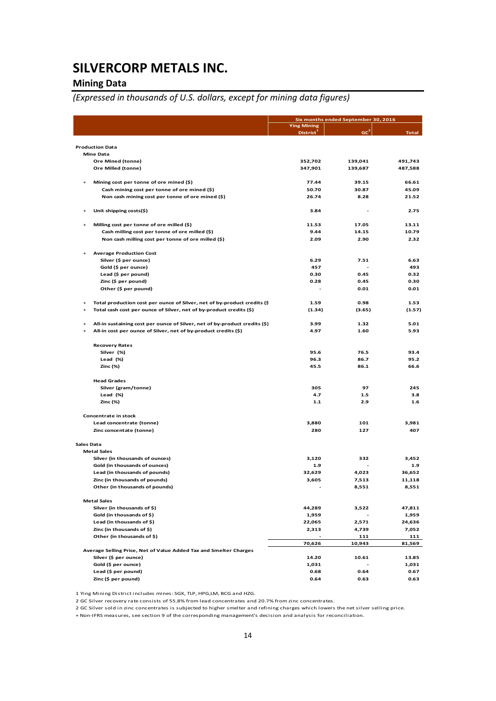## **Mining Data**

# *(Expressed in thousands of U.S. dollars, except for mining data figures)*

|                                                                                  |                                             | Six months ended September 30, 2016 |               |  |
|----------------------------------------------------------------------------------|---------------------------------------------|-------------------------------------|---------------|--|
|                                                                                  | <b>Ying Mining</b><br>District <sup>1</sup> | GC <sup>2</sup>                     | <b>Total</b>  |  |
|                                                                                  |                                             |                                     |               |  |
| <b>Production Data</b>                                                           |                                             |                                     |               |  |
| <b>Mine Data</b>                                                                 |                                             |                                     |               |  |
| <b>Ore Mined (tonne)</b>                                                         | 352,702                                     | 139,041                             | 491,743       |  |
| Ore Milled (tonne)                                                               | 347,901                                     | 139,687                             | 487,588       |  |
| Mining cost per tonne of ore mined (\$)<br>÷                                     | 77.44                                       | 39.15                               | 66.61         |  |
| Cash mining cost per tonne of ore mined (\$)                                     | 50.70                                       | 30.87                               | 45.09         |  |
| Non cash mining cost per tonne of ore mined (\$)                                 | 26.74                                       | 8.28                                | 21.52         |  |
| Unit shipping costs(\$)                                                          | 3.84                                        |                                     | 2.75          |  |
| Milling cost per tonne of ore milled (\$)<br>$\ddot{}$                           | 11.53                                       | 17.05                               | 13.11         |  |
| Cash milling cost per tonne of ore milled (\$)                                   | 9.44                                        | 14.15                               | 10.79         |  |
| Non cash milling cost per tonne of ore milled (\$)                               | 2.09                                        | 2.90                                | 2.32          |  |
| <b>Average Production Cost</b>                                                   |                                             |                                     |               |  |
| Silver (\$ per ounce)                                                            | 6.29                                        | 7.51                                | 6.63          |  |
| Gold (\$ per ounce)                                                              | 457                                         |                                     | 493           |  |
| Lead (\$ per pound)                                                              | 0.30                                        | 0.45                                | 0.32          |  |
| Zinc (\$ per pound)                                                              | 0.28                                        | 0.45                                | 0.30          |  |
| Other (\$ per pound)                                                             |                                             | 0.01                                | 0.01          |  |
| Total production cost per ounce of Silver, net of by-product credits (\$<br>+    | 1.59                                        | 0.98                                | 1.53          |  |
| Total cash cost per ounce of Silver, net of by-product credits (\$)<br>$\ddot{}$ | (1.34)                                      | (3.65)                              | (1.57)        |  |
| All-in sustaining cost per ounce of Silver, net of by-product credits (\$)       | 3.99                                        | 1.32                                | 5.01          |  |
| All-in cost per ounce of Silver, net of by-product credits (\$)<br>÷             | 4.97                                        | 1.60                                | 5.93          |  |
| <b>Recovery Rates</b>                                                            |                                             |                                     |               |  |
| Silver (%)                                                                       | 95.6                                        | 76.5                                | 93.4          |  |
| Lead $(\%)$                                                                      | 96.3                                        | 86.7                                | 95.2          |  |
| Zinc (%)                                                                         | 45.5                                        | 86.1                                | 66.6          |  |
| <b>Head Grades</b>                                                               |                                             |                                     |               |  |
| Silver (gram/tonne)                                                              | 305                                         | 97                                  | 245           |  |
| Lead (%)                                                                         | 4.7                                         | $1.5$                               | 3.8           |  |
| Zinc (%)                                                                         | $1.1$                                       | 2.9                                 | 1.6           |  |
| Concentrate in stock                                                             |                                             |                                     |               |  |
| Lead concentrate (tonne)                                                         | 3,880                                       | 101                                 | 3,981         |  |
| Zinc concentate (tonne)                                                          | 280                                         | 127                                 | 407           |  |
| Sales Data                                                                       |                                             |                                     |               |  |
| <b>Metal Sales</b>                                                               |                                             |                                     |               |  |
| Silver (in thousands of ounces)                                                  | 3,120                                       | 332                                 | 3,452         |  |
| Gold (in thousands of ounces)                                                    | 1.9                                         |                                     | 1.9           |  |
| Lead (in thousands of pounds)                                                    | 32,629                                      | 4,023                               | 36,652        |  |
| Zinc (in thousands of pounds)                                                    | 3,605                                       | 7,513                               | 11,118        |  |
| Other (in thousands of pounds)                                                   |                                             | 8,551                               | 8,551         |  |
| <b>Metal Sales</b>                                                               |                                             |                                     |               |  |
| Silver (in thousands of \$)                                                      | 44,289                                      | 3,522                               | 47,811        |  |
| Gold (in thousands of \$)                                                        | 1,959                                       |                                     | 1,959         |  |
| Lead (in thousands of \$)                                                        | 22,065                                      | 2,571                               | 24,636        |  |
| Zinc (in thousands of \$)                                                        | 2,313                                       | 4,739                               | 7,052         |  |
| Other (in thousands of \$)                                                       | 70,626                                      | 111<br>10,943                       | 111<br>81,569 |  |
| Average Selling Price, Net of Value Added Tax and Smelter Charges                |                                             |                                     |               |  |
| Silver (\$ per ounce)                                                            | 14.20                                       | 10.61                               | 13.85         |  |
| Gold (\$ per ounce)                                                              | 1,031                                       |                                     | 1,031         |  |
| Lead (\$ per pound)                                                              | 0.68                                        | 0.64                                | 0.67          |  |
| Zinc (\$ per pound)                                                              | 0.64                                        | 0.63                                | 0.63          |  |

1 Ying Mining District includes mines: SGX, TLP, HPG,LM, BCG and HZG.

2 GC Silver recovery rate consists of 55.8% from lead concentrates and 20.7% from zinc concentrates.

2 GC Silver sold in zinc concentrates is subjected to higher smelter and refining charges which lowers the net silver selling price.

+ Non‐IFRS measures, see section 9 of the corresponding management's decision and analysis for reconciliation.